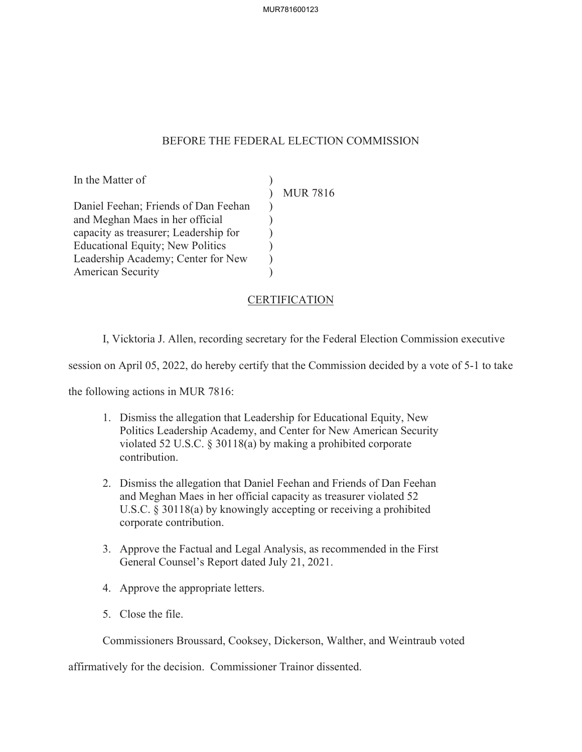## BEFORE THE FEDERAL ELECTION COMMISSION

) )  $\mathcal{L}$ ) ) )

In the Matter of

 $\mathcal{L}$ MUR 7816

Daniel Feehan; Friends of Dan Feehan and Meghan Maes in her official capacity as treasurer; Leadership for Educational Equity; New Politics Leadership Academy; Center for New American Security

CERTIFICATION

I, Vicktoria J. Allen, recording secretary for the Federal Election Commission executive

session on April 05, 2022, do hereby certify that the Commission decided by a vote of 5-1 to take

the following actions in MUR 7816:

- 1. Dismiss the allegation that Leadership for Educational Equity, New Politics Leadership Academy, and Center for New American Security violated 52 U.S.C. § 30118(a) by making a prohibited corporate contribution.
- 2. Dismiss the allegation that Daniel Feehan and Friends of Dan Feehan and Meghan Maes in her official capacity as treasurer violated 52 U.S.C. § 30118(a) by knowingly accepting or receiving a prohibited corporate contribution.
- 3. Approve the Factual and Legal Analysis, as recommended in the First General Counsel's Report dated July 21, 2021.
- 4. Approve the appropriate letters.
- 5. Close the file.

Commissioners Broussard, Cooksey, Dickerson, Walther, and Weintraub voted

affirmatively for the decision. Commissioner Trainor dissented.